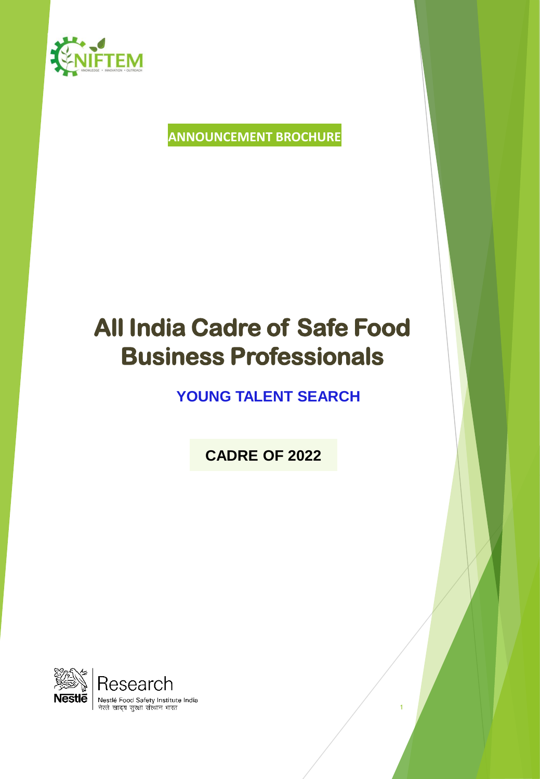

# **ANNOUNCEMENT BROCHURE**

# **All India Cadre of Safe Food Business Professionals**

# **YOUNG TALENT SEARCH**

**CADRE OF 2022**

1

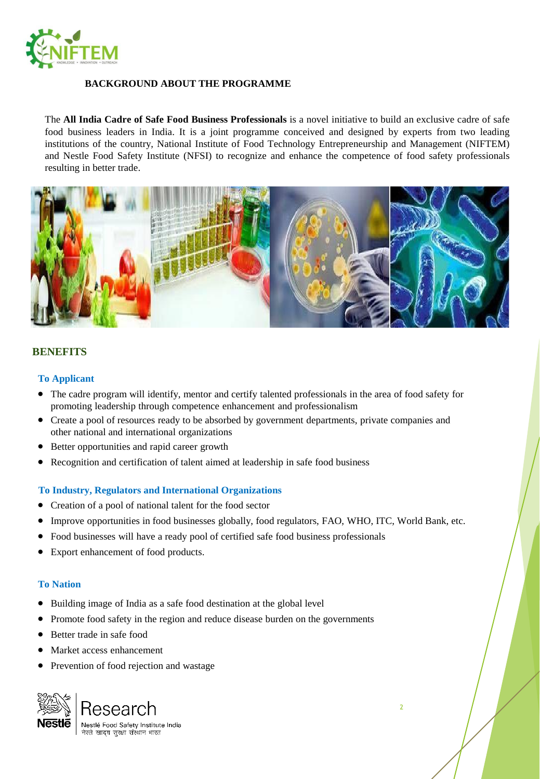

#### **BACKGROUND ABOUT THE PROGRAMME**

The **All India Cadre of Safe Food Business Professionals** is a novel initiative to build an exclusive cadre of safe food business leaders in India. It is a joint programme conceived and designed by experts from two leading institutions of the country, National Institute of Food Technology Entrepreneurship and Management (NIFTEM) and Nestle Food Safety Institute (NFSI) to recognize and enhance the competence of food safety professionals resulting in better trade.



#### **BENEFITS**

#### **To Applicant**

- The cadre program will identify, mentor and certify talented professionals in the area of food safety for promoting leadership through competence enhancement and professionalism
- Create a pool of resources ready to be absorbed by government departments, private companies and other national and international organizations
- Better opportunities and rapid career growth
- Recognition and certification of talent aimed at leadership in safe food business

#### **To Industry, Regulators and International Organizations**

- Creation of a pool of national talent for the food sector
- Improve opportunities in food businesses globally, food regulators, FAO, WHO, ITC, World Bank, etc.
- Food businesses will have a ready pool of certified safe food business professionals
- Export enhancement of food products.

#### **To Nation**

- Building image of India as a safe food destination at the global level
- Promote food safety in the region and reduce disease burden on the governments
- Better trade in safe food
- Market access enhancement
- Prevention of food rejection and wastage

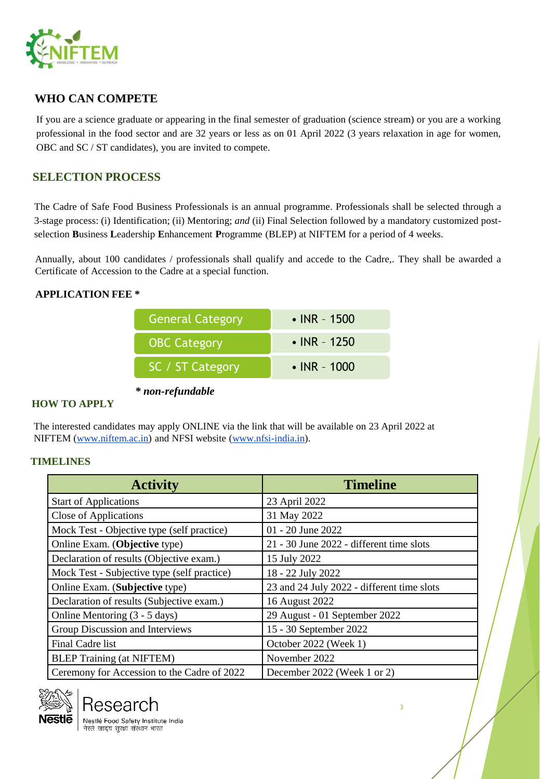

# **WHO CAN COMPETE**

If you are a science graduate or appearing in the final semester of graduation (science stream) or you are a working professional in the food sector and are 32 years or less as on 01 April 2022 (3 years relaxation in age for women, OBC and SC / ST candidates), you are invited to compete.

# **SELECTION PROCESS**

The Cadre of Safe Food Business Professionals is an annual programme. Professionals shall be selected through a 3-stage process: (i) Identification; (ii) Mentoring; *and* (ii) Final Selection followed by a mandatory customized postselection **B**usiness **L**eadership **E**nhancement **P**rogramme (BLEP) at NIFTEM for a period of 4 weeks.

Annually, about 100 candidates / professionals shall qualify and accede to the Cadre,. They shall be awarded a Certificate of Accession to the Cadre at a special function.

#### **APPLICATION FEE \***

| General Category    | $\cdot$ INR - 1500 |
|---------------------|--------------------|
| <b>OBC Category</b> | • INR - 1250       |
| SC / ST Category    | • INR - $1000$     |

*\* non-refundable*

# **HOW TO APPLY**

The interested candidates may apply ONLINE via the link that will be available on 23 April 2022 at NIFTEM ([www.niftem.ac.in\)](http://www.niftem.ac.in/) and NFSI website [\(www.nfsi-india.in\)](http://www.nfsi-india.in/).

#### **TIMELINES**

| <b>Activity</b>                             | <b>Timeline</b>                            |
|---------------------------------------------|--------------------------------------------|
| <b>Start of Applications</b>                | 23 April 2022                              |
| Close of Applications                       | 31 May 2022                                |
| Mock Test - Objective type (self practice)  | 01 - 20 June 2022                          |
| Online Exam. (Objective type)               | 21 - 30 June 2022 - different time slots   |
| Declaration of results (Objective exam.)    | 15 July 2022                               |
| Mock Test - Subjective type (self practice) | 18 - 22 July 2022                          |
| Online Exam. (Subjective type)              | 23 and 24 July 2022 - different time slots |
| Declaration of results (Subjective exam.)   | 16 August 2022                             |
| Online Mentoring (3 - 5 days)               | 29 August - 01 September 2022              |
| Group Discussion and Interviews             | 15 - 30 September 2022                     |
| Final Cadre list                            | October 2022 (Week 1)                      |
| <b>BLEP Training (at NIFTEM)</b>            | November 2022                              |
| Ceremony for Accession to the Cadre of 2022 | December 2022 (Week 1 or 2)                |



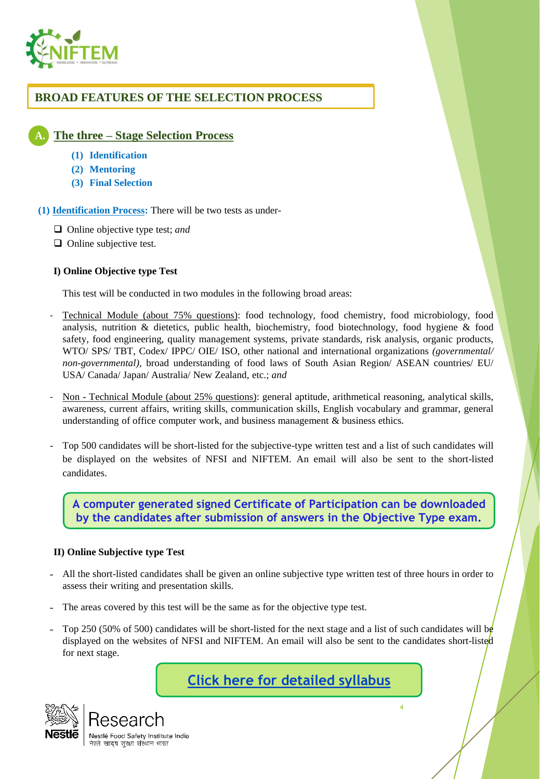

# **BROAD FEATURES OF THE SELECTION PROCESS**

# **A. The three – Stage Selection Process**

- **(1) Identification**
- **(2) Mentoring**
- **(3) Final Selection**

**(1) Identification Process:** There will be two tests as under-

- ❑ Online objective type test; *and*
- ❑ Online subjective test.

#### **I) Online Objective type Test**

This test will be conducted in two modules in the following broad areas:

- ‐ Technical Module (about 75% questions): food technology, food chemistry, food microbiology, food analysis, nutrition & dietetics, public health, biochemistry, food biotechnology, food hygiene & food safety, food engineering, quality management systems, private standards, risk analysis, organic products, WTO/ SPS/ TBT, Codex/ IPPC/ OIE/ ISO, other national and international organizations *(governmental/ non-governmental),* broad understanding of food laws of South Asian Region/ ASEAN countries/ EU/ USA/ Canada/ Japan/ Australia/ New Zealand, etc.; *and*
- ‐ Non Technical Module (about 25% questions): general aptitude, arithmetical reasoning, analytical skills, awareness, current affairs, writing skills, communication skills, English vocabulary and grammar, general understanding of office computer work, and business management & business ethics.
- Top 500 candidates will be short-listed for the subjective-type written test and a list of such candidates will be displayed on the websites of NFSI and NIFTEM. An email will also be sent to the short-listed candidates.

**A computer generated signed Certificate of Participation can be downloaded by the candidates after submission of answers in the Objective Type exam.**

#### **II) Online Subjective type Test**

- ˗ All the short-listed candidates shall be given an online subjective type written test of three hours in order to assess their writing and presentation skills.
- The areas covered by this test will be the same as for the objective type test.
- Top 250 (50% of 500) candidates will be short-listed for the next stage and a list of such candidates will be displayed on the websites of NFSI and NIFTEM. An email will also be sent to the candidates short-listed for next stage.

**[Click here for detailed syllabus](https://www.nfsi-india.in/sites/default/files/2022-03/Syllabus for Cadre Programme.pdf)**

4



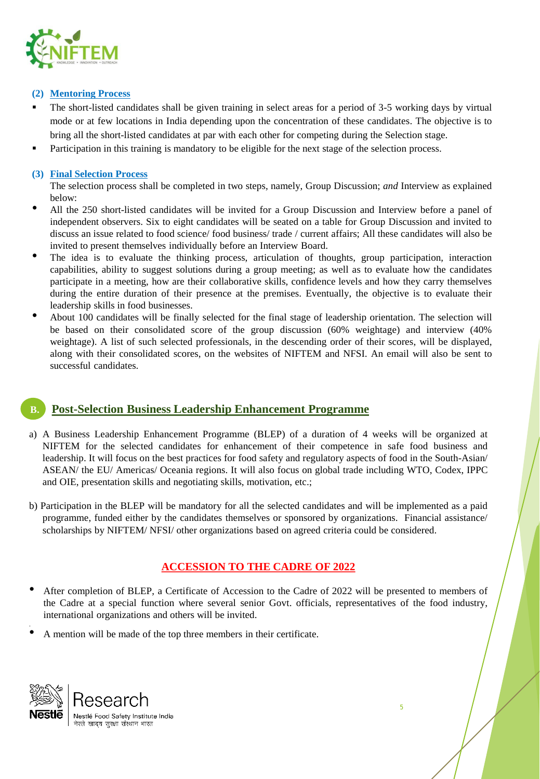

#### **(2) Mentoring Process**

- The short-listed candidates shall be given training in select areas for a period of 3-5 working days by virtual mode or at few locations in India depending upon the concentration of these candidates. The objective is to bring all the short-listed candidates at par with each other for competing during the Selection stage.
- Participation in this training is mandatory to be eligible for the next stage of the selection process.

#### **(3) Final Selection Process**

The selection process shall be completed in two steps, namely, Group Discussion; *and* Interview as explained below:

- All the <sup>250</sup> short-listed candidates will be invited for <sup>a</sup> Group Discussion and Interview before <sup>a</sup> panel of independent observers. Six to eight candidates will be seated on a table for Group Discussion and invited to discuss an issue related to food science/ food business/ trade / current affairs; All these candidates will also be invited to present themselves individually before an Interview Board.
- The idea is to evaluate the thinking process, articulation of thoughts, group participation, interaction capabilities, ability to suggest solutions during a group meeting; as well as to evaluate how the candidates participate in a meeting, how are their collaborative skills, confidence levels and how they carry themselves during the entire duration of their presence at the premises. Eventually, the objective is to evaluate their leadership skills in food businesses.
- About <sup>100</sup> candidates will be finally selected for the final stage of leadership orientation. The selection will be based on their consolidated score of the group discussion (60% weightage) and interview (40% weightage). A list of such selected professionals, in the descending order of their scores, will be displayed, along with their consolidated scores, on the websites of NIFTEM and NFSI. An email will also be sent to successful candidates.

# **B. Post-Selection Business Leadership Enhancement Programme**

- a) A Business Leadership Enhancement Programme (BLEP) of a duration of 4 weeks will be organized at NIFTEM for the selected candidates for enhancement of their competence in safe food business and leadership. It will focus on the best practices for food safety and regulatory aspects of food in the South-Asian/ ASEAN/ the EU/ Americas/ Oceania regions. It will also focus on global trade including WTO, Codex, IPPC and OIE, presentation skills and negotiating skills, motivation, etc.;
- b) Participation in the BLEP will be mandatory for all the selected candidates and will be implemented as a paid programme, funded either by the candidates themselves or sponsored by organizations. Financial assistance/ scholarships by NIFTEM/ NFSI/ other organizations based on agreed criteria could be considered.

# **ACCESSION TO THE CADRE OF 2022**

- After completion of BLEP, <sup>a</sup> Certificate of Accession to the Cadre of <sup>2022</sup> will be presented to members of the Cadre at a special function where several senior Govt. officials, representatives of the food industry, international organizations and others will be invited.
- <sup>A</sup> mention will be made of the top three members in their certificate.



.